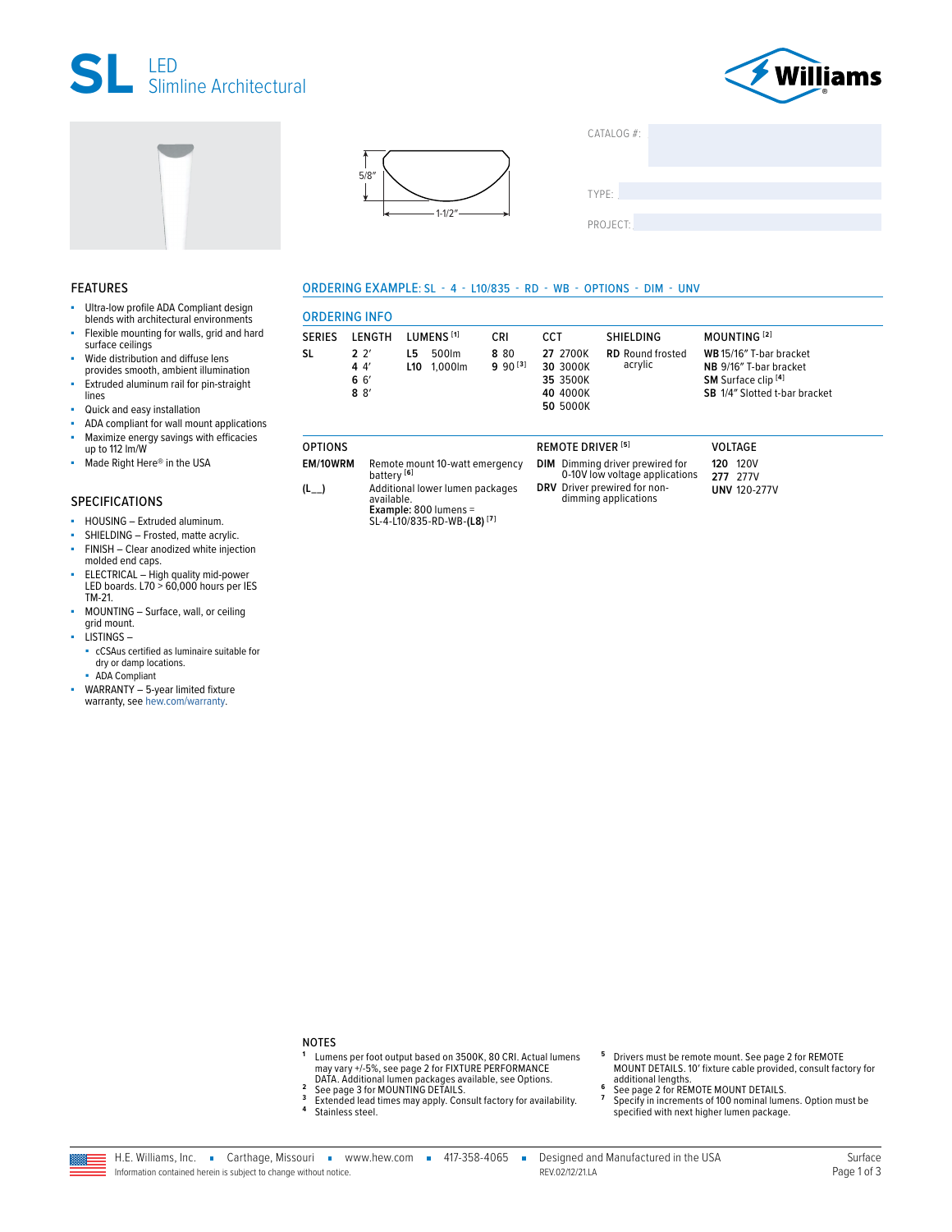







CATALOG #:

TYPE:

PROJECT:

#### **FEATURES**

- ä, Ultra-low profile ADA Compliant design blends with architectural environments
- Flexible mounting for walls, grid and hard surface ceilings
- Wide distribution and diffuse lens provides smooth, ambient illumination
- Extruded aluminum rail for pin-straight à. lines
- Quick and easy installation ä,
- ADA compliant for wall mount applications à. Maximize energy savings with efficacies × up to  $112 \, \text{Im/W}$
- Made Right Here® in the USA ä,

#### **SPECIFICATIONS**

- HOUSING Extruded aluminum. a.
- SHIELDING Frosted, matte acrylic. à,
- ä, FINISH - Clear anodized white injection molded end caps.
- ELECTRICAL High quality mid-power LED boards. L70 > 60,000 hours per IES TM-21.
- MOUNTING Surface, wall, or ceiling à, grid mount.

LISTINGS-

- cCSAus certified as luminaire suitable for dry or damp locations.

• ADA Compliant

WARRANTY - 5-year limited fixture warranty, see hew.com/warranty.

## ORDERING EXAMPLE: SL - 4 - L10/835 - RD - WB - OPTIONS - DIM - UNV

|  | <b>ORDERING INFO</b> |  |  |  |
|--|----------------------|--|--|--|
|--|----------------------|--|--|--|

| $\sim$ $\sim$ $\sim$ $\sim$ $\sim$ |                           |     |                               |                      |                                                          |                                    |                                                                                                                                    |
|------------------------------------|---------------------------|-----|-------------------------------|----------------------|----------------------------------------------------------|------------------------------------|------------------------------------------------------------------------------------------------------------------------------------|
| <b>SERIES</b>                      | LENGTH                    |     | <b>ILIMENS</b> <sup>[1]</sup> | CRI                  | CCT                                                      | SHIELDING                          | MOUNTING <sup>[2]</sup>                                                                                                            |
| <b>SL</b>                          | 2.2'<br>44'<br>66'<br>88' | 15. | 500lm<br>L10 1.000lm          | 8 80<br>$9.90^{[3]}$ | 27 2700K<br>30 3000K<br>35 3500K<br>40 4000K<br>50 5000K | <b>RD</b> Round frosted<br>acrylic | WB 15/16" T-bar bracket<br>NB 9/16" T-bar bracket<br><b>SM</b> Surface clip <sup>[4]</sup><br><b>SB</b> 1/4" Slotted t-bar bracket |

| <b>OPTIONS</b> |                                                          |
|----------------|----------------------------------------------------------|
| EM/10WRM       | Remote mount 10-watt emergency<br>battery <sup>[6]</sup> |
| $(L_{--})$     | Additional lower lumen packages                          |

- Additional lower lumen packages available. Example: 800 lumens =<br>SL-4-L10/835-RD-WB-(L8)<sup>[7]</sup>
- **REMOTE DRIVER [5] DIM** Dimming driver prewired for 0-10V low voltage applications DRV Driver prewired for nondimming applications

VOLTAGE **120 120V** 277 277V **UNV 120-277V** 

# **NOTES**

- <sup>1</sup> Lumens per foot output based on 3500K, 80 CRI. Actual lumens Lamens per root output based on 5500K, 80 CRI. ACtual I<br>may vary +/-5%, see page 2 for FIXTURE PERFORMANCE<br>DATA. Additional lumen packages available, see Options.<br>See page 3 for MOUNTING DETAILS.  $\overline{2}$ 
	-
- Extended lead times may apply. Consult factory for availability.  $\overline{\mathbf{3}}$  $\overline{\mathbf{4}}$

Stainless steel.

- Drivers must be remote mount. See page 2 for REMOTE MOUNT DETAILS. 10' fixture cable provided, consult factory for
- additional lengths.<br>See page 2 for REMOTE MOUNT DETAILS. 6
- $\overline{7}$ Specify in increments of 100 nominal lumens. Option must be specified with next higher lumen package.

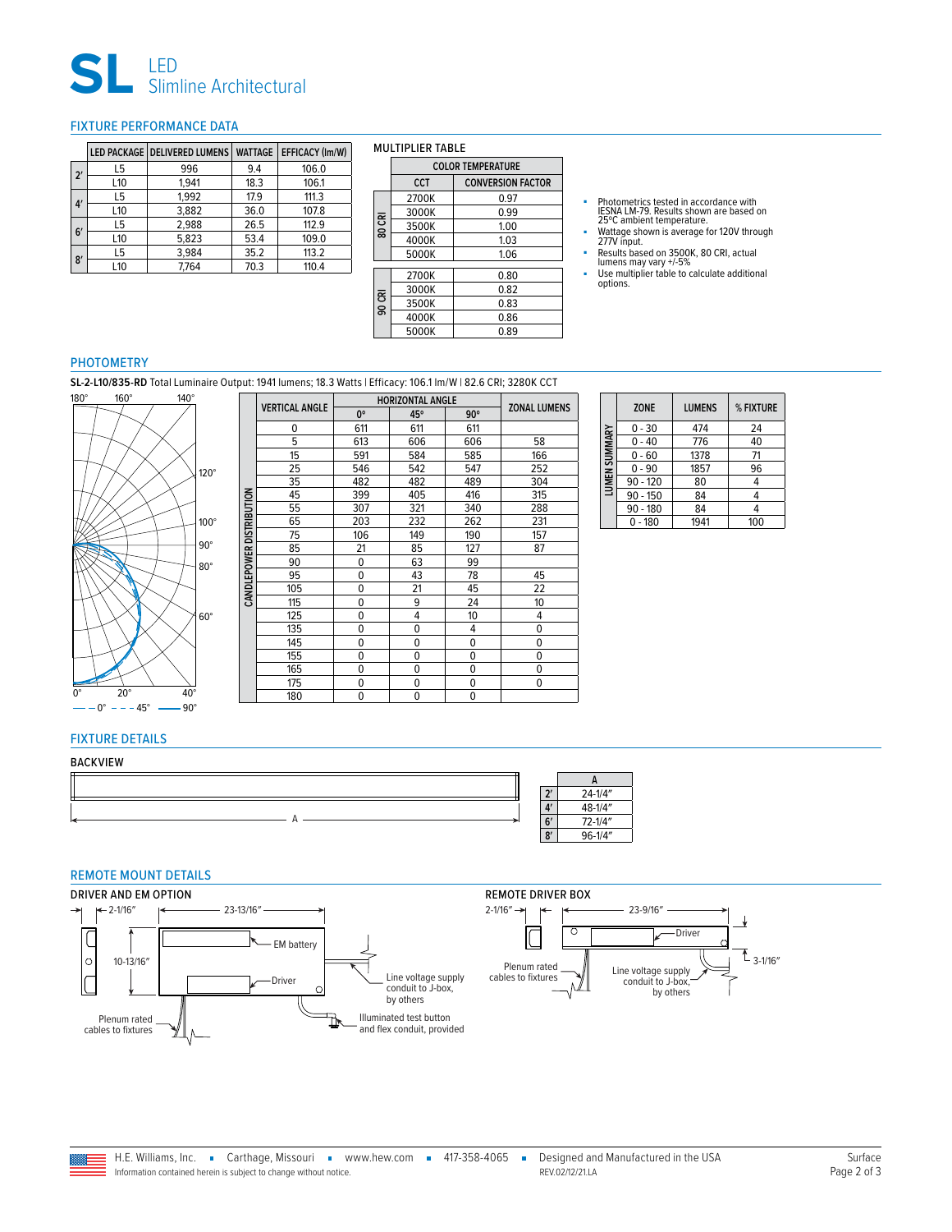

## <span id="page-1-0"></span>FIXTURE PERFORMANCE DATA

|              |                 | LED PACKAGE   DELIVERED LUMENS | <b>WATTAGE</b> | <b>EFFICACY (Im/W)</b> |
|--------------|-----------------|--------------------------------|----------------|------------------------|
| $2^{\prime}$ | L5              | 996                            | 9.4            | 106.0                  |
|              | L <sub>10</sub> | 1.941                          | 18.3           | 106.1                  |
| 4'           | L5              | 1.992                          | 17.9           | 111.3                  |
|              | L <sub>10</sub> | 3.882                          | 36.0           | 107.8                  |
| 6'           | L5              | 2.988                          | 26.5           | 112.9                  |
|              | L <sub>10</sub> | 5,823                          | 53.4           | 109.0                  |
| 8'           | L5              | 3,984                          | 35.2           | 113.2                  |
|              | L <sub>10</sub> | 7.764                          | 70.3           | 110.4                  |

#### MULTIPLIER TABLE

|        | <b>COLOR TEMPERATURE</b> |                          |  |  |  |  |
|--------|--------------------------|--------------------------|--|--|--|--|
|        | CCT                      | <b>CONVERSION FACTOR</b> |  |  |  |  |
|        | 2700K                    | 0.97                     |  |  |  |  |
|        | 3000K                    | 0.99                     |  |  |  |  |
| 80 CRI | 3500K                    | 1.00                     |  |  |  |  |
|        | 4000K                    | 1.03                     |  |  |  |  |
|        | 5000K                    | 1.06                     |  |  |  |  |
|        | 2700K<br>0.80            |                          |  |  |  |  |
|        |                          |                          |  |  |  |  |
| 90 CRI | 3000K                    | 0.82                     |  |  |  |  |
|        | 3500K                    | 0.83                     |  |  |  |  |
|        | 4000K                    | 0.86                     |  |  |  |  |
|        | 5000K                    | 0.89                     |  |  |  |  |

- Photometrics tested in accordance with<br>IESNA LM-79. Results shown are based on<br>25℃ ambient temperature.<br>■ Wattage shown is average for 120V through<br>277V input.
- 
- Results based on 3500K, 80 CRI, actual lumens may vary +/-5%
- Use multiplier table to calculate additional options.

#### PHOTOMETRY

**SL-2-L10/835-RD** Total Luminaire Output: 1941 lumens; 18.3 Watts | Efficacy: 106.1 lm/W | 82.6 CRI; 3280K CCT



|              | <b>VERTICAL ANGLE</b> | <b>HORIZONTAL ANGLE</b> | <b>ZONAL LUMENS</b> |             |             |
|--------------|-----------------------|-------------------------|---------------------|-------------|-------------|
|              |                       | 0°                      | 45°                 | $90^\circ$  |             |
|              | 0                     | 611                     | 611                 | 611         |             |
|              | 5                     | 613                     | 606                 | 606         | 58          |
|              | 15                    | 591                     | 584                 | 585         | 166         |
|              | 25                    | 546                     | 542                 | 547         | 252         |
|              | 35                    | 482                     | 482                 | 489         | 304         |
|              | 45                    | 399                     | 405                 | 416         | 315         |
|              | 55                    | 307                     | 321                 | 340         | 288         |
| DISTRIBUTION | 65                    | 203                     | 232                 | 262         | 231         |
|              | 75                    | 106                     | 149                 | 190         | 157         |
|              | 85                    | 21                      | 85                  | 127         | 87          |
|              | 90                    | 0                       | 63                  | 99          |             |
|              | 95                    | $\mathbf 0$             | 43                  | 78          | 45          |
| CANDLEPOWER  | 105                   | $\mathbf 0$             | 21                  | 45          | 22          |
|              | 115                   | $\mathbf 0$             | 9                   | 24          | 10          |
|              | 125                   | $\mathbf 0$             | 4                   | 10          | 4           |
|              | 135                   | $\mathbf 0$             | $\mathbf 0$         | 4           | $\mathbf 0$ |
|              | 145                   | $\mathbf 0$             | $\mathbf 0$         | 0           | 0           |
|              | 155                   | $\mathbf 0$             | $\mathbf 0$         | 0           | $\mathbf 0$ |
|              | 165                   | $\mathbf 0$             | $\mathbf 0$         | $\mathbf 0$ | $\mathbf 0$ |
|              | 175                   | 0                       | $\mathbf 0$         | $\mathbf 0$ | 0           |
|              | 180                   | $\mathbf 0$             | $\mathbf 0$         | 0           |             |

|               | <b>ZONE</b> | <b>LUMENS</b> | % FIXTURE |
|---------------|-------------|---------------|-----------|
|               | $0 - 30$    | 474           | 24        |
|               | $0 - 40$    | 776           | 40        |
|               | $0 - 60$    | 1378          | 71        |
|               | $0 - 90$    | 1857          | 96        |
| LUMEN SUMMARY | $90 - 120$  | 80            |           |
|               | $90 - 150$  | 84            |           |
|               | $90 - 180$  | 84            |           |
|               | $0 - 180$   | 1941          | 100       |

# FIXTURE DETAILS

# BACKVIEW A



# <span id="page-1-1"></span>REMOTE MOUNT DETAILS